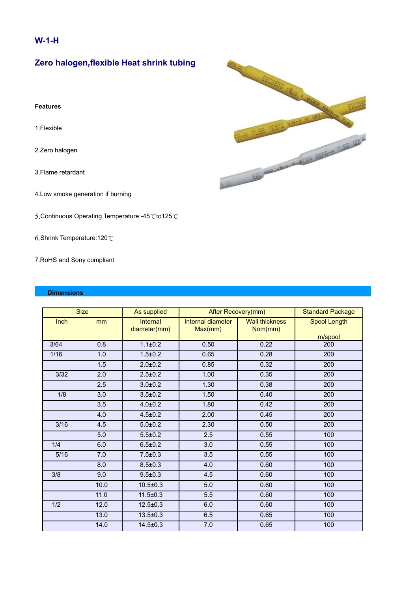### **W-1-H**

# **Zero halogen,flexible Heat shrink tubing**

#### **Features**

1.Flexible

- 2.Zero halogen
- 3.Flame retardant
- 4.Low smoke generation if burning
- 5.Continuous Operating Temperature:-45℃to125℃
- 6.Shrink Temperature:120℃
- 7.RoHS and Sony compliant

#### **Dimensions**

| <b>Size</b>    |      | As supplied                     | After Recovery(mm)           |                                  | <b>Standard Package</b> |
|----------------|------|---------------------------------|------------------------------|----------------------------------|-------------------------|
| Inch           | mm   | <b>Internal</b><br>diameter(mm) | Internal diameter<br>Max(mm) | <b>Wall thickness</b><br>Nom(mm) | Spool Length<br>m/spool |
| 3/64           | 0.8  | $1.1 \pm 0.2$                   | 0.50                         | 0.22                             | 200                     |
| 1/16           | 1.0  | $1.5 + 0.2$                     | 0.65                         | 0.28                             | 200                     |
|                | 1.5  | $2.0 \pm 0.2$                   | 0.85                         | 0.32                             | 200                     |
| $\frac{3}{32}$ | 2.0  | $2.5 \pm 0.2$                   | 1.00                         | 0.35                             | 200                     |
|                | 2.5  | $3.0 + 0.2$                     | 1.30                         | 0.38                             | 200                     |
| 1/8            | 3.0  | $3.5 \pm 0.2$                   | 1.50                         | 0.40                             | 200                     |
|                | 3.5  | $4.0 + 0.2$                     | 1.80                         | 0.42                             | 200                     |
|                | 4.0  | $4.5 \pm 0.2$                   | 2.00                         | 0.45                             | 200                     |
| 3/16           | 4.5  | $5.0 + 0.2$                     | 2.30                         | 0.50                             | 200                     |
|                | 5.0  | $5.5 \pm 0.2$                   | 2.5                          | 0.55                             | 100                     |
| 1/4            | 6.0  | $6.5 \pm 0.2$                   | 3.0                          | 0.55                             | 100                     |
| 5/16           | 7.0  | $7.5 \pm 0.3$                   | 3.5                          | 0.55                             | 100                     |
|                | 8.0  | $8.5 \pm 0.3$                   | 4.0                          | 0.60                             | 100                     |
| 3/8            | 9.0  | $9.5 \pm 0.3$                   | 4.5                          | 0.60                             | 100                     |
|                | 10.0 | $10.5 \pm 0.3$                  | 5.0                          | 0.60                             | 100                     |
|                | 11.0 | $11.5 \pm 0.3$                  | 5.5                          | 0.60                             | 100                     |
| 1/2            | 12.0 | $12.5 \pm 0.3$                  | 6.0                          | 0.60                             | 100                     |
|                | 13.0 | $13.5 \pm 0.3$                  | 6.5                          | 0.65                             | 100                     |
|                | 14.0 | $14.5 \pm 0.3$                  | 7.0                          | 0.65                             | 100                     |

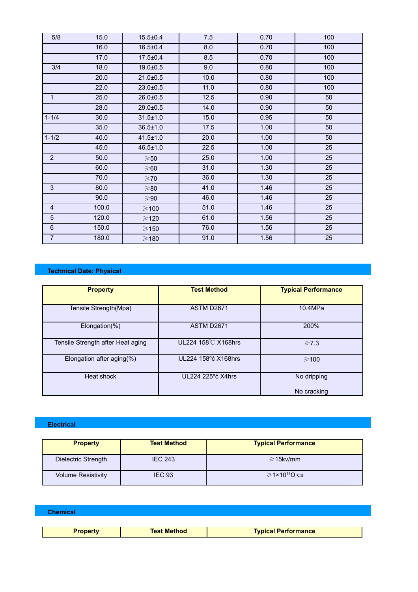| 5/8            | 15.0  | $15.5 \pm 0.4$  | 7.5              | 0.70 | 100 |
|----------------|-------|-----------------|------------------|------|-----|
|                | 16.0  | $16.5 \pm 0.4$  | $\overline{8.0}$ | 0.70 | 100 |
|                | 17.0  | $17.5 \pm 0.4$  | 8.5              | 0.70 | 100 |
| 3/4            | 18.0  | $19.0 \pm 0.5$  | 9.0              | 0.80 | 100 |
|                | 20.0  | $21.0 \pm 0.5$  | 10.0             | 0.80 | 100 |
|                | 22.0  | $23.0 \pm 0.5$  | 11.0             | 0.80 | 100 |
| $\mathbf{1}$   | 25.0  | $26.0 \pm 0.5$  | 12.5             | 0.90 | 50  |
|                | 28.0  | $29.0 \pm 0.5$  | 14.0             | 0.90 | 50  |
| $1 - 1/4$      | 30.0  | $31.5 \pm 1.0$  | 15.0             | 0.95 | 50  |
|                | 35.0  | $36.5 \pm 1.0$  | 17.5             | 1.00 | 50  |
| $1 - 1/2$      | 40.0  | $41.5 \pm 1.0$  | 20.0             | 1.00 | 50  |
|                | 45.0  | $46.5 \pm 1.0$  | 22.5             | 1.00 | 25  |
| $\overline{2}$ | 50.0  | $\geqslant$ 50  | 25.0             | 1.00 | 25  |
|                | 60.0  | $\geqslant 60$  | 31.0             | 1.30 | 25  |
|                | 70.0  | $\geqslant$ 70  | 36.0             | 1.30 | 25  |
| 3              | 80.0  | $\geqslant$ 80  | 41.0             | 1.46 | 25  |
|                | 90.0  | $\geqslant$ 90  | 46.0             | 1.46 | 25  |
| 4              | 100.0 | $\geqslant$ 100 | 51.0             | 1.46 | 25  |
| 5              | 120.0 | $\geqslant$ 120 | 61.0             | 1.56 | 25  |
| 6              | 150.0 | $\geqslant$ 150 | 76.0             | 1.56 | 25  |
| $\overline{7}$ | 180.0 | $\geqslant$ 180 | 91.0             | 1.56 | 25  |

## **Technical Date: Physical**

| <b>Property</b>                   | <b>Test Method</b>  | <b>Typical Performance</b> |
|-----------------------------------|---------------------|----------------------------|
| Tensile Strength(Mpa)             | <b>ASTM D2671</b>   | 10.4MPa                    |
| $Elongation(\% )$                 | <b>ASTM D2671</b>   | 200%                       |
| Tensile Strength after Heat aging | UL224 158℃ X168hrs  | $\geq 7.3$                 |
| Elongation after aging(%)         | UL224 158°c X168hrs | $\geqslant$ 100            |
| Heat shock                        | UL224 225°c X4hrs   | No dripping                |
|                                   |                     | No cracking                |

### **Electrical**

| <b>Property</b>           | <b>Test Method</b> | <b>Typical Performance</b>                     |
|---------------------------|--------------------|------------------------------------------------|
| Dielectric Strength       | <b>IEC 243</b>     | $\geq$ 15kv/mm                                 |
| <b>Volume Resistivity</b> | <b>IEC 93</b>      | $\geq 1 \times 10^{14} \Omega \cdot \text{cm}$ |